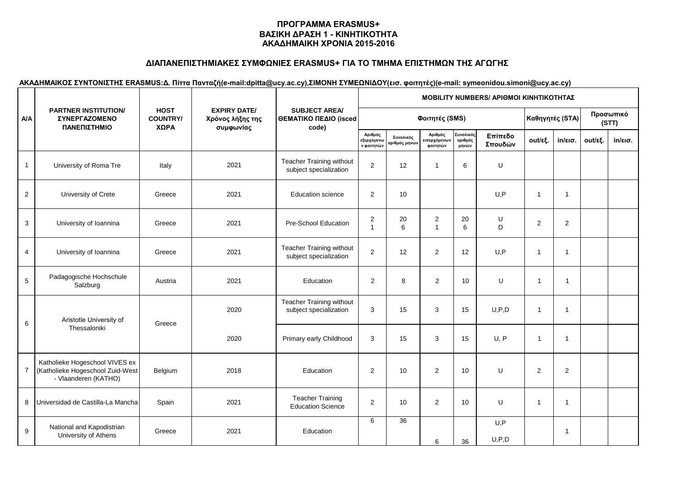# **ΔΙΑΠΑΝΕΠΙΣΤΗΜΙΑΚΕΣ ΣΥΜΦΩΝΙΕΣ ERASMUS+ ΓΙΑ ΤΟ ΤΜΗΜΑ ΕΠΙΣΤΗΜΩΝ ΤΗΣ ΑΓΩΓΗΣ**

|                |                                                                                            |                                        |                                                      |                                                           | <b>MOBILITY NUMBERS/ APIOMOI ΚΙΝΗΤΙΚΟΤΗΤΑΣ</b> |                                          |                                     |                               |                    |                         |                   |         |                    |  |
|----------------|--------------------------------------------------------------------------------------------|----------------------------------------|------------------------------------------------------|-----------------------------------------------------------|------------------------------------------------|------------------------------------------|-------------------------------------|-------------------------------|--------------------|-------------------------|-------------------|---------|--------------------|--|
| <b>A/A</b>     | <b>PARTNER INSTITUTION/</b><br><b><i>ΣΥΝΕΡΓΑΖΟΜΕΝΟ</i></b><br>ΠΑΝΕΠΙΣΤΗΜΙΟ                 | <b>HOST</b><br><b>COUNTRY/</b><br>ΧΩΡΑ | <b>EXPIRY DATE/</b><br>Χρόνος λήξης της<br>συμφωνίας | <b>SUBJECT AREA/</b><br>ΘΕΜΑΤΙΚΟ ΠΕΔΙΟ (isced<br>code)    |                                                |                                          | Φοιτητές (SMS)                      |                               |                    | Καθηγητές (STA)         |                   |         | Προσωπικό<br>(STT) |  |
|                |                                                                                            |                                        |                                                      |                                                           | Αριθμός<br>εξερχόμενω<br>ν φοιτητών            | Συνολικός<br>αριθμός μηνώ <mark>ν</mark> | Αριθμός<br>εισερχόμενων<br>φοιτητών | Συνολικός<br>αριθμός<br>μηνών | Επίπεδο<br>Σπουδών | out/εξ.                 | $in/\epsilon$ ισ. | out/εξ. | $in/\epsilon$ ισ.  |  |
| $\mathbf{1}$   | University of Roma Tre                                                                     | Italy                                  | 2021                                                 | <b>Teacher Training without</b><br>subject specialization | $\overline{2}$                                 | 12                                       | $\overline{1}$                      | 6                             | U                  |                         |                   |         |                    |  |
| $\overline{2}$ | University of Crete                                                                        | Greece                                 | 2021                                                 | <b>Education science</b>                                  | $\overline{2}$                                 | 10                                       |                                     |                               | U.P                | $\overline{1}$          | $\mathbf{1}$      |         |                    |  |
| 3              | University of Ioannina                                                                     | Greece                                 | 2021                                                 | <b>Pre-School Education</b>                               | $\overline{2}$<br>$\mathbf{1}$                 | 20<br>6                                  | $\overline{2}$<br>$\mathbf{1}$      | 20<br>6                       | U<br>D             | 2                       | $\mathbf{2}$      |         |                    |  |
| 4              | University of Ioannina                                                                     | Greece                                 | 2021                                                 | <b>Teacher Training without</b><br>subject specialization | $\overline{2}$                                 | 12                                       | $\overline{2}$                      | 12                            | U, P               | $\mathbf{1}$            | $\mathbf{1}$      |         |                    |  |
| 5              | Padagogische Hochschule<br>Salzburg                                                        | Austria                                | 2021                                                 | Education                                                 | $\overline{2}$                                 | 8                                        | 2                                   | 10                            | U                  | $\overline{1}$          | $\mathbf{1}$      |         |                    |  |
|                | Aristotle University of                                                                    |                                        | 2020                                                 | <b>Teacher Training without</b><br>subject specialization | 3                                              | 15                                       | 3                                   | 15                            | U, P, D            | $\overline{1}$          | $\mathbf{1}$      |         |                    |  |
| 6              | Thessaloniki                                                                               | Greece                                 | 2020                                                 | Primary early Childhood                                   | 3                                              | 15                                       | 3                                   | 15                            | U, P               | $\overline{\mathbf{1}}$ | $\mathbf{1}$      |         |                    |  |
| 7              | Katholieke Hogeschool VIVES ex<br>(Katholieke Hogeschool Zuid-West<br>- Vlaanderen (KATHO) | Belgium                                | 2018                                                 | Education                                                 | $\overline{2}$                                 | 10                                       | $\overline{2}$                      | 10                            | U                  | $\overline{2}$          | $\overline{2}$    |         |                    |  |
| 8              | Universidad de Castilla-La Mancha                                                          | Spain                                  | 2021                                                 | <b>Teacher Training</b><br><b>Education Science</b>       | $\overline{2}$                                 | 10                                       | $\overline{2}$                      | 10                            | U                  | $\mathbf{1}$            | 1                 |         |                    |  |
| 9              | National and Kapodistrian<br>University of Athens                                          | Greece                                 | 2021                                                 | Education                                                 | 6                                              | 36                                       | 6                                   | 36                            | U, P<br>U, P, D    |                         | 1                 |         |                    |  |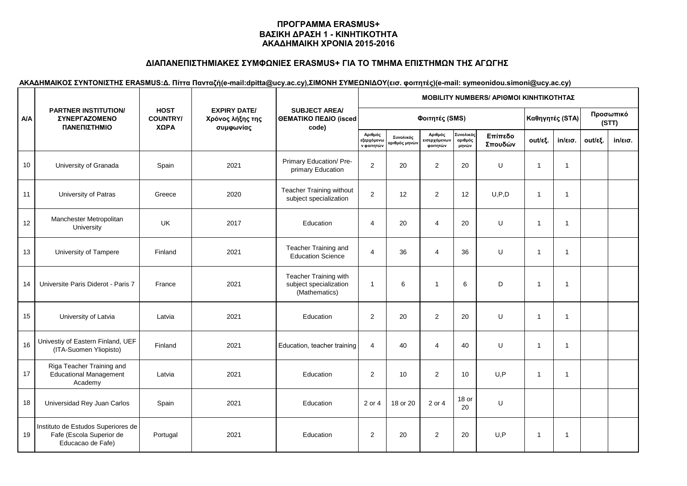# **ΔΙΑΠΑΝΕΠΙΣΤΗΜΙΑΚΕΣ ΣΥΜΦΩΝΙΕΣ ERASMUS+ ΓΙΑ ΤΟ ΤΜΗΜΑ ΕΠΙΣΤΗΜΩΝ ΤΗΣ ΑΓΩΓΗΣ**

|            |                                                                                     |                                        |                                                      |                                                                  | MOBILITY NUMBERS/ ΑΡΙΘΜΟΙ ΚΙΝΗΤΙΚΟΤΗΤΑΣ |                            |                                     |                               |                    |              |                   |         |                    |  |
|------------|-------------------------------------------------------------------------------------|----------------------------------------|------------------------------------------------------|------------------------------------------------------------------|-----------------------------------------|----------------------------|-------------------------------------|-------------------------------|--------------------|--------------|-------------------|---------|--------------------|--|
| <b>A/A</b> | <b>PARTNER INSTITUTION/</b><br><b>ΣΥΝΕΡΓΑΖΟΜΕΝΟ</b><br>ΠΑΝΕΠΙΣΤΗΜΙΟ                 | <b>HOST</b><br><b>COUNTRY/</b><br>ΧΩΡΑ | <b>EXPIRY DATE/</b><br>Χρόνος λήξης της<br>συμφωνίας | <b>SUBJECT AREA/</b><br>ΘΕΜΑΤΙΚΟ ΠΕΔΙΟ (isced<br>code)           |                                         |                            | Φοιτητές (SMS)                      |                               |                    |              | Καθηγητές (STA)   |         | Προσωπικό<br>(STT) |  |
|            |                                                                                     |                                        |                                                      |                                                                  | Αριθμός<br>εξερχόμενω<br>ν φοιτητών     | Συνολικός<br>αριθμός μηνών | Αριθμός<br>εισερχόμενων<br>φοιτητών | Συνολικός<br>αριθμός<br>μηνών | Επίπεδο<br>Σπουδών | out/εξ.      | $in/\epsilon$ ισ. | out/εξ. | $in/\epsilon$ ισ.  |  |
| 10         | University of Granada                                                               | Spain                                  | 2021                                                 | Primary Education/ Pre-<br>primary Education                     | 2                                       | 20                         | 2                                   | 20                            | U                  | $\mathbf{1}$ | $\mathbf{1}$      |         |                    |  |
| 11         | University of Patras                                                                | Greece                                 | 2020                                                 | Teacher Training without<br>subject specialization               | 2                                       | 12                         | $\overline{2}$                      | 12                            | U, P, D            | $\mathbf{1}$ | $\mathbf{1}$      |         |                    |  |
| 12         | Manchester Metropolitan<br>University                                               | UK                                     | 2017                                                 | Education                                                        | $\overline{4}$                          | 20                         | 4                                   | 20                            | U                  | $\mathbf{1}$ | $\mathbf{1}$      |         |                    |  |
| 13         | University of Tampere                                                               | Finland                                | 2021                                                 | Teacher Training and<br><b>Education Science</b>                 | $\overline{4}$                          | 36                         | 4                                   | 36                            | U                  | $\mathbf{1}$ | $\mathbf{1}$      |         |                    |  |
| 14         | Universite Paris Diderot - Paris 7                                                  | France                                 | 2021                                                 | Teacher Training with<br>subject specialization<br>(Mathematics) | $\overline{1}$                          | 6                          | $\mathbf{1}$                        | 6                             | D                  | $\mathbf{1}$ | $\mathbf{1}$      |         |                    |  |
| 15         | University of Latvia                                                                | Latvia                                 | 2021                                                 | Education                                                        | 2                                       | 20                         | $\overline{2}$                      | 20                            | U                  | $\mathbf{1}$ | $\mathbf{1}$      |         |                    |  |
| 16         | Univestiy of Eastern Finland, UEF<br>(ITA-Suomen Yliopisto)                         | Finland                                | 2021                                                 | Education, teacher training                                      | $\overline{4}$                          | 40                         | $\overline{4}$                      | 40                            | U                  | $\mathbf{1}$ | $\mathbf{1}$      |         |                    |  |
| 17         | Riga Teacher Training and<br><b>Educational Management</b><br>Academy               | Latvia                                 | 2021                                                 | Education                                                        | 2                                       | 10                         | $\overline{2}$                      | 10                            | U, P               | $\mathbf{1}$ | $\mathbf{1}$      |         |                    |  |
| 18         | Universidad Rey Juan Carlos                                                         | Spain                                  | 2021                                                 | Education                                                        | 2 or 4                                  | 18 or 20                   | 2 or 4                              | 18 or<br>20                   | U                  |              |                   |         |                    |  |
| 19         | Instituto de Estudos Superiores de<br>Fafe (Escola Superior de<br>Educacao de Fafe) | Portugal                               | 2021                                                 | Education                                                        | 2                                       | 20                         | $\overline{2}$                      | 20                            | U, P               | $\mathbf{1}$ | $\mathbf{1}$      |         |                    |  |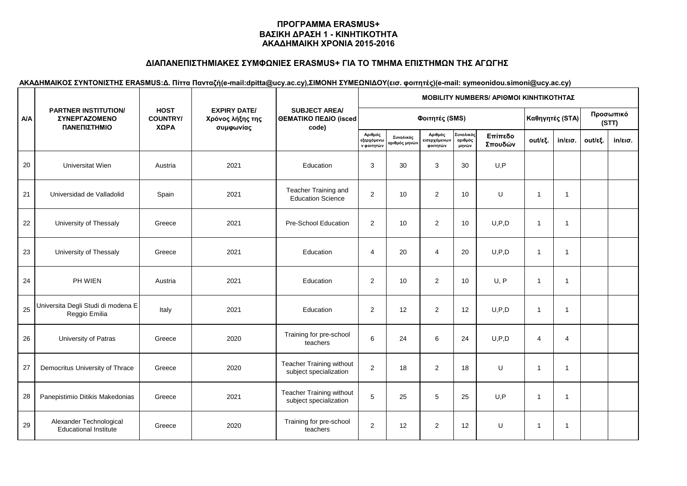# **ΔΙΑΠΑΝΕΠΙΣΤΗΜΙΑΚΕΣ ΣΥΜΦΩΝΙΕΣ ERASMUS+ ΓΙΑ ΤΟ ΤΜΗΜΑ ΕΠΙΣΤΗΜΩΝ ΤΗΣ ΑΓΩΓΗΣ**

|            |                                                                     |                                        |                                                      |                                                           | <b>MOBILITY NUMBERS/ APIOMOI ΚΙΝΗΤΙΚΟΤΗΤΑΣ</b> |                                          |                                     |                               |                    |                    |                   |         |                   |  |  |
|------------|---------------------------------------------------------------------|----------------------------------------|------------------------------------------------------|-----------------------------------------------------------|------------------------------------------------|------------------------------------------|-------------------------------------|-------------------------------|--------------------|--------------------|-------------------|---------|-------------------|--|--|
| <b>A/A</b> | <b>PARTNER INSTITUTION/</b><br><b>ΣΥΝΕΡΓΑΖΟΜΕΝΟ</b><br>ΠΑΝΕΠΙΣΤΗΜΙΟ | <b>HOST</b><br><b>COUNTRY/</b><br>ΧΩΡΑ | <b>EXPIRY DATE/</b><br>Χρόνος λήξης της<br>συμφωνίας | <b>SUBJECT AREA/</b><br>ΘΕΜΑΤΙΚΟ ΠΕΔΙΟ (isced<br>code)    | Φοιτητές (SMS)                                 |                                          | Καθηγητές (STA)                     |                               |                    | Προσωπικό<br>(STT) |                   |         |                   |  |  |
|            |                                                                     |                                        |                                                      |                                                           | Αριθμός<br>εξερχόμενω<br>ν φοιτητών            | Συνολικός<br>αριθμός μηνώ <mark>ν</mark> | Αριθμός<br>εισερχόμενων<br>φοιτητών | Συνολικός<br>αριθμός<br>μηνών | Επίπεδο<br>Σπουδών | out/εξ.            | $in/\epsilon$ ισ. | out/εξ. | $in/\epsilon$ ισ. |  |  |
| 20         | Universitat Wien                                                    | Austria                                | 2021                                                 | Education                                                 | 3                                              | 30                                       | 3                                   | 30                            | U, P               |                    |                   |         |                   |  |  |
| 21         | Universidad de Valladolid                                           | Spain                                  | 2021                                                 | Teacher Training and<br><b>Education Science</b>          | $\overline{2}$                                 | 10                                       | 2                                   | 10                            | U                  | $\mathbf{1}$       | 1                 |         |                   |  |  |
| 22         | University of Thessaly                                              | Greece                                 | 2021                                                 | <b>Pre-School Education</b>                               | $\overline{2}$                                 | 10                                       | $\overline{2}$                      | 10                            | U, P, D            | $\mathbf{1}$       | 1                 |         |                   |  |  |
| 23         | University of Thessaly                                              | Greece                                 | 2021                                                 | Education                                                 | $\overline{4}$                                 | 20                                       | 4                                   | 20                            | U, P, D            | $\mathbf{1}$       | 1                 |         |                   |  |  |
| 24         | PH WIEN                                                             | Austria                                | 2021                                                 | Education                                                 | $\overline{2}$                                 | 10                                       | $\overline{2}$                      | 10                            | U, P               | $\mathbf{1}$       | $\mathbf{1}$      |         |                   |  |  |
| 25         | Universita Degli Studi di modena E<br>Reggio Emilia                 | Italy                                  | 2021                                                 | Education                                                 | $\overline{2}$                                 | 12                                       | $\overline{2}$                      | 12                            | U, P, D            | $\mathbf{1}$       | $\mathbf{1}$      |         |                   |  |  |
| 26         | University of Patras                                                | Greece                                 | 2020                                                 | Training for pre-school<br>teachers                       | 6                                              | 24                                       | 6                                   | 24                            | U, P, D            | $\overline{4}$     | 4                 |         |                   |  |  |
| 27         | Democritus University of Thrace                                     | Greece                                 | 2020                                                 | <b>Teacher Training without</b><br>subject specialization | $\overline{2}$                                 | 18                                       | $\overline{2}$                      | 18                            | U                  | $\mathbf{1}$       | $\mathbf{1}$      |         |                   |  |  |
| 28         | Panepistimio Ditikis Makedonias                                     | Greece                                 | 2021                                                 | <b>Teacher Training without</b><br>subject specialization | 5                                              | 25                                       | 5                                   | 25                            | U, P               | $\mathbf{1}$       | 1                 |         |                   |  |  |
| 29         | Alexander Technological<br><b>Educational Institute</b>             | Greece                                 | 2020                                                 | Training for pre-school<br>teachers                       | $\overline{2}$                                 | 12                                       | $\overline{2}$                      | 12                            | U                  | $\mathbf{1}$       | $\mathbf{1}$      |         |                   |  |  |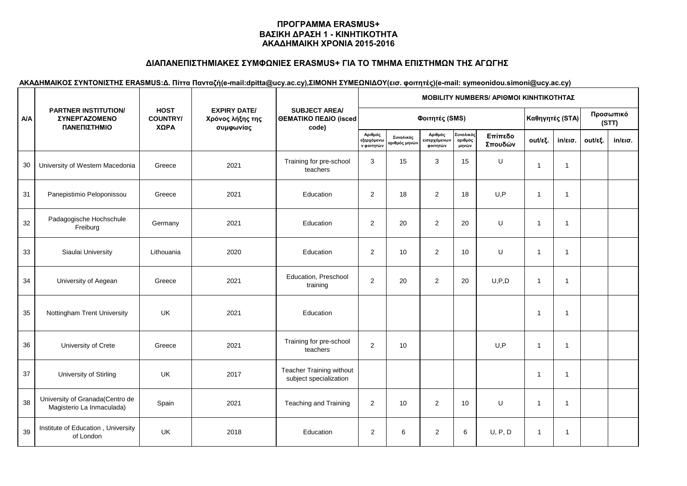# **ΔΙΑΠΑΝΕΠΙΣΤΗΜΙΑΚΕΣ ΣΥΜΦΩΝΙΕΣ ERASMUS+ ΓΙΑ ΤΟ ΤΜΗΜΑ ΕΠΙΣΤΗΜΩΝ ΤΗΣ ΑΓΩΓΗΣ**

|            |                                                                     |                                        |                                         |                                                        |                                     |                                          |                                     |                               | <b>MOBILITY NUMBERS/ APIOMOI ΚΙΝΗΤΙΚΟΤΗΤΑΣ</b> |                 |                   |         | Προσωπικό<br>(STT)<br>$in/\epsilon$ ισ. |
|------------|---------------------------------------------------------------------|----------------------------------------|-----------------------------------------|--------------------------------------------------------|-------------------------------------|------------------------------------------|-------------------------------------|-------------------------------|------------------------------------------------|-----------------|-------------------|---------|-----------------------------------------|
| <b>A/A</b> | <b>PARTNER INSTITUTION/</b><br><b>ΣΥΝΕΡΓΑΖΟΜΕΝΟ</b><br>ΠΑΝΕΠΙΣΤΗΜΙΟ | <b>HOST</b><br><b>COUNTRY/</b><br>ΧΩΡΑ | <b>EXPIRY DATE/</b><br>Χρόνος λήξης της | <b>SUBJECT AREA/</b><br>ΘΕΜΑΤΙΚΟ ΠΕΔΙΟ (isced<br>code) |                                     |                                          | Φοιτητές (SMS)                      |                               |                                                | Καθηγητές (STA) |                   |         |                                         |
|            |                                                                     |                                        | συμφωνίας                               |                                                        | Αριθμός<br>εξερχόμενω<br>ν φοιτητών | Συνολικός<br>αριθμός μηνώ <mark>ν</mark> | Αριθμός<br>εισερχόμενων<br>φοιτητών | Συνολικός<br>αριθμός<br>μηνών | Επίπεδο<br>Σπουδών                             | out/εξ.         | $in/\epsilon$ ισ. | out/εξ. |                                         |
| 30         | University of Western Macedonia                                     | Greece                                 | 2021                                    | Training for pre-school<br>teachers                    | 3                                   | 15                                       | 3                                   | 15                            | U                                              | $\mathbf{1}$    | $\mathbf{1}$      |         |                                         |
| 31         | Panepistimio Peloponissou                                           | Greece                                 | 2021                                    | Education                                              | $\overline{2}$                      | 18                                       | $\overline{2}$                      | 18                            | U, P                                           | $\overline{1}$  | $\mathbf{1}$      |         |                                         |
| 32         | Padagogische Hochschule<br>Freiburg                                 | Germany                                | 2021                                    | Education                                              | $\overline{2}$                      | 20                                       | $\overline{2}$                      | 20                            | U                                              | $\mathbf{1}$    | $\mathbf{1}$      |         |                                         |
| 33         | Siaulai University                                                  | Lithouania                             | 2020                                    | Education                                              | $\overline{2}$                      | 10                                       | $\overline{2}$                      | 10                            | U                                              | $\mathbf{1}$    | $\mathbf{1}$      |         |                                         |
| 34         | University of Aegean                                                | Greece                                 | 2021                                    | Education, Preschool<br>training                       | $\overline{2}$                      | 20                                       | $\overline{2}$                      | 20                            | U, P, D                                        | $\mathbf{1}$    | $\mathbf{1}$      |         |                                         |
| 35         | Nottingham Trent University                                         | UK                                     | 2021                                    | Education                                              |                                     |                                          |                                     |                               |                                                | $\mathbf{1}$    | $\mathbf{1}$      |         |                                         |
| 36         | University of Crete                                                 | Greece                                 | 2021                                    | Training for pre-school<br>teachers                    | $\overline{2}$                      | 10                                       |                                     |                               | U, P                                           | $\mathbf{1}$    | $\mathbf{1}$      |         |                                         |
| 37         | University of Stirling                                              | UK                                     | 2017                                    | Teacher Training without<br>subject specialization     |                                     |                                          |                                     |                               |                                                | $\mathbf{1}$    | 1                 |         |                                         |
| 38         | University of Granada(Centro de<br>Magisterio La Inmaculada)        | Spain                                  | 2021                                    | <b>Teaching and Training</b>                           | $\overline{2}$                      | 10                                       | $\overline{2}$                      | 10                            | U                                              | $\mathbf{1}$    | 1                 |         |                                         |
| 39         | Institute of Education, University<br>of London                     | <b>UK</b>                              | 2018                                    | Education                                              | $\overline{2}$                      | 6                                        | $\overline{2}$                      | 6                             | U, P, D                                        | $\overline{1}$  | $\mathbf{1}$      |         |                                         |